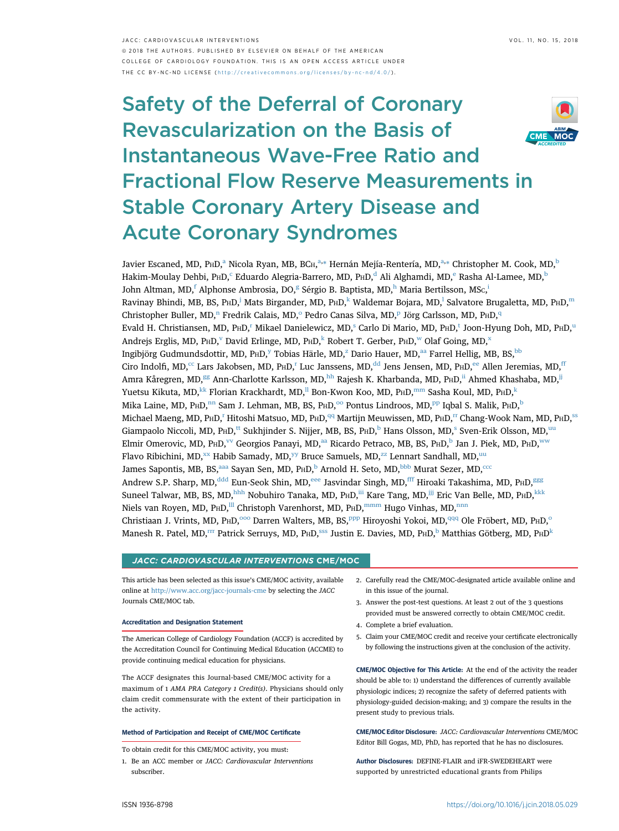JACC: CARDIOVASCULAR INTERVENTIONS VOL. 11, NO. 15, 2018 ª 2018 THE AUTHORS. PUBLISHED BY ELSEVIER ON BEHALF OF THE AMERICAN COLLEGE OF CARDIOLOGY FOUNDATION. THIS IS AN OPEN ACCESS ARTICLE UNDER THE CC BY-NC-ND LICENSE ( http://creativecommons.o [rg/licenses/by-nc-nd/4.0/](http://creativecommons.org/licenses/by-nc-nd/4.0/) ) .

# Safety of the Deferral of Coronary Revascularization on the Basis of Instantaneous Wave-Free Ratio and Fractional Flow Reserve Measurements in Stable Coronary Artery Disease and Acute Coronary Syndromes



#### JACC: CARDIOVASCULAR INTERVENTIONS CME/MOC

This article has been selected as this issue's CME/MOC activity, available online at <http://www.acc.org/jacc-journals-cme> by selecting the JACC Journals CME/MOC tab.

#### Accreditation and Designation Statement

The American College of Cardiology Foundation (ACCF) is accredited by the Accreditation Council for Continuing Medical Education (ACCME) to provide continuing medical education for physicians.

The ACCF designates this Journal-based CME/MOC activity for a maximum of 1 AMA PRA Category 1 Credit(s). Physicians should only claim credit commensurate with the extent of their participation in the activity.

#### Method of Participation and Receipt of CME/MOC Certificate

To obtain credit for this CME/MOC activity, you must:

1. Be an ACC member or JACC: Cardiovascular Interventions subscriber.

- 2. Carefully read the CME/MOC-designated article available online and in this issue of the journal.
- 3. Answer the post-test questions. At least 2 out of the 3 questions provided must be answered correctly to obtain CME/MOC credit.
- 4. Complete a brief evaluation.
- 5. Claim your CME/MOC credit and receive your certificate electronically by following the instructions given at the conclusion of the activity.

CME/MOC Objective for This Article: At the end of the activity the reader should be able to: 1) understand the differences of currently available physiologic indices; 2) recognize the safety of deferred patients with physiology-guided decision-making; and 3) compare the results in the present study to previous trials.

CME/MOC Editor Disclosure: JACC: Cardiovascular Interventions CME/MOC Editor Bill Gogas, MD, PhD, has reported that he has no disclosures.

Author Disclosures: DEFINE-FLAIR and iFR-SWEDEHEART were supported by unrestricted educational grants from Philips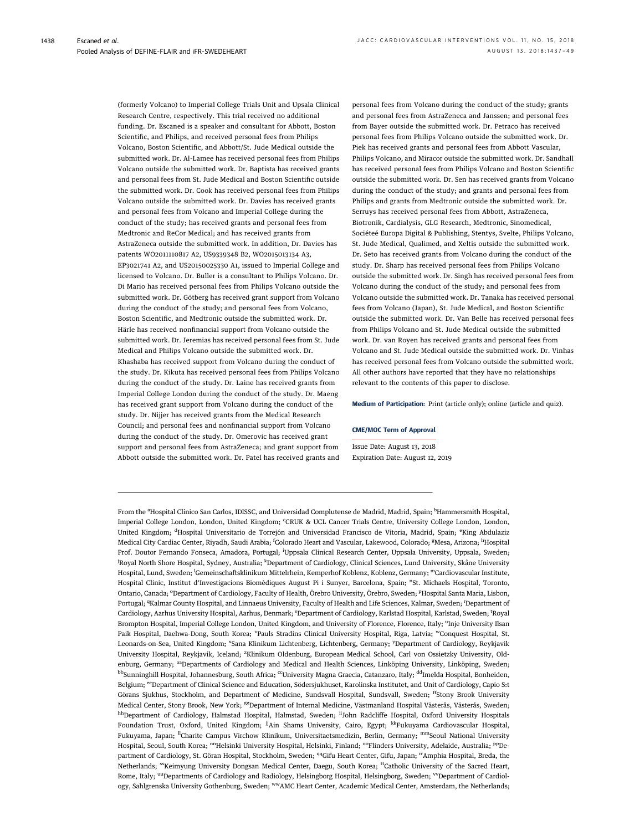<span id="page-1-0"></span>(formerly Volcano) to Imperial College Trials Unit and Upsala Clinical Research Centre, respectively. This trial received no additional funding. Dr. Escaned is a speaker and consultant for Abbott, Boston Scientific, and Philips, and received personal fees from Philips Volcano, Boston Scientific, and Abbott/St. Jude Medical outside the submitted work. Dr. Al-Lamee has received personal fees from Philips Volcano outside the submitted work. Dr. Baptista has received grants and personal fees from St. Jude Medical and Boston Scientific outside the submitted work. Dr. Cook has received personal fees from Philips Volcano outside the submitted work. Dr. Davies has received grants and personal fees from Volcano and Imperial College during the conduct of the study; has received grants and personal fees from Medtronic and ReCor Medical; and has received grants from AstraZeneca outside the submitted work. In addition, Dr. Davies has patents WO2011110817 A2, US9339348 B2, WO2015013134 A3, EP3021741 A2, and US20150025330 A1, issued to Imperial College and licensed to Volcano. Dr. Buller is a consultant to Philips Volcano. Dr. Di Mario has received personal fees from Philips Volcano outside the submitted work. Dr. Götberg has received grant support from Volcano during the conduct of the study; and personal fees from Volcano, Boston Scientific, and Medtronic outside the submitted work. Dr. Härle has received nonfinancial support from Volcano outside the submitted work. Dr. Jeremias has received personal fees from St. Jude Medical and Philips Volcano outside the submitted work. Dr. Khashaba has received support from Volcano during the conduct of the study. Dr. Kikuta has received personal fees from Philips Volcano during the conduct of the study. Dr. Laine has received grants from Imperial College London during the conduct of the study. Dr. Maeng has received grant support from Volcano during the conduct of the study. Dr. Nijjer has received grants from the Medical Research Council; and personal fees and nonfinancial support from Volcano during the conduct of the study. Dr. Omerovic has received grant support and personal fees from AstraZeneca; and grant support from Abbott outside the submitted work. Dr. Patel has received grants and personal fees from Volcano during the conduct of the study; grants and personal fees from AstraZeneca and Janssen; and personal fees from Bayer outside the submitted work. Dr. Petraco has received personal fees from Philips Volcano outside the submitted work. Dr. Piek has received grants and personal fees from Abbott Vascular, Philips Volcano, and Miracor outside the submitted work. Dr. Sandhall has received personal fees from Philips Volcano and Boston Scientific outside the submitted work. Dr. Sen has received grants from Volcano during the conduct of the study; and grants and personal fees from Philips and grants from Medtronic outside the submitted work. Dr. Serruys has received personal fees from Abbott, AstraZeneca, Biotronik, Cardialysis, GLG Research, Medtronic, Sinomedical, Sociéteé Europa Digital & Publishing, Stentys, Svelte, Philips Volcano, St. Jude Medical, Qualimed, and Xeltis outside the submitted work. Dr. Seto has received grants from Volcano during the conduct of the study. Dr. Sharp has received personal fees from Philips Volcano outside the submitted work. Dr. Singh has received personal fees from Volcano during the conduct of the study; and personal fees from Volcano outside the submitted work. Dr. Tanaka has received personal fees from Volcano (Japan), St. Jude Medical, and Boston Scientific outside the submitted work. Dr. Van Belle has received personal fees from Philips Volcano and St. Jude Medical outside the submitted work. Dr. van Royen has received grants and personal fees from Volcano and St. Jude Medical outside the submitted work. Dr. Vinhas has received personal fees from Volcano outside the submitted work. All other authors have reported that they have no relationships relevant to the contents of this paper to disclose.

Medium of Participation: Print (article only); online (article and quiz).

#### CME/MOC Term of Approval

Issue Date: August 13, 2018 Expiration Date: August 12, 2019

From the <sup>a</sup>Hospital Clínico San Carlos, IDISSC, and Universidad Complutense de Madrid, Madrid, Spain; <sup>b</sup>Hammersmith Hospital, Imperial College London, London, United Kingdom; CRUK & UCL Cancer Trials Centre, University College London, London, United Kingdom; <sup>d</sup>Hospital Universitario de Torrejón and Universidad Francisco de Vitoria, Madrid, Spain; <sup>e</sup>King Abdulaziz Medical City Cardiac Center, Riyadh, Saudi Arabia; <sup>f</sup>Colorado Heart and Vascular, Lakewood, Colorado; <sup>g</sup>Mesa, Arizona; <sup>h</sup>Hospital Prof. Doutor Fernando Fonseca, Amadora, Portugal; <sup>i</sup>Uppsala Clinical Research Center, Uppsala University, Uppsala, Sweden; <sup>i</sup>Royal North Shore Hospital, Sydney, Australia; <sup>k</sup>Department of Cardiology, Clinical Sciences, Lund University, Skåne University Hospital, Lund, Sweden; <sup>l</sup>Gemeinschaftsklinikum Mittelrhein, Kemperhof Koblenz, Koblenz, Germany; <sup>m</sup>Cardiovascular Institute, Hospital Clinic, Institut d'Investigacions Biomèdiques August Pi i Sunyer, Barcelona, Spain; <sup>n</sup>St. Michaels Hospital, Toronto, Ontario, Canada; <sup>o</sup>Department of Cardiology, Faculty of Health, Örebro University, Örebro, Sweden; <sup>p</sup>Hospital Santa Maria, Lisbon, Portugal; <sup>q</sup>Kalmar County Hospital, and Linnaeus University, Faculty of Health and Life Sciences, Kalmar, Sweden; <sup>r</sup>Department of Cardiology, Aarhus University Hospital, Aarhus, Denmark; <sup>s</sup>Department of Cardiology, Karlstad Hospital, Karlstad, Sweden; <sup>t</sup>Royal Brompton Hospital, Imperial College London, United Kingdom, and University of Florence, Florence, Italy; <sup>u</sup>Inje University Ilsan Paik Hospital, Daehwa-Dong, South Korea; <sup>v</sup>Pauls Stradins Clinical University Hospital, Riga, Latvia; <sup>w</sup>Conquest Hospital, St. Leonards-on-Sea, United Kingdom; <sup>x</sup>Sana Klinikum Lichtenberg, Lichtenberg, Germany; <sup>y</sup>Department of Cardiology, Reykjavik University Hospital, Reykjavik, Iceland; <sup>z</sup>Klinikum Oldenburg, European Medical School, Carl von Ossietzky University, Oldenburg, Germany; aaDepartments of Cardiology and Medical and Health Sciences, Linköping University, Linköping, Sweden; bbSunninghill Hospital, Johannesburg, South Africa; <sup>cc</sup>University Magna Graecia, Catanzaro, Italy; <sup>dd</sup>Imelda Hospital, Bonheiden, Belgium; eeDepartment of Clinical Science and Education, Södersjukhuset, Karolinska Institutet, and Unit of Cardiology, Capio S:t Görans Sjukhus, Stockholm, and Department of Medicine, Sundsvall Hospital, Sundsvall, Sweden; ffStony Brook University Medical Center, Stony Brook, New York; <sup>gg</sup>Department of Internal Medicine, Västmanland Hospital Västerås, Västerås, Sweden; hhDepartment of Cardiology, Halmstad Hospital, Halmstad, Sweden; <sup>ii</sup>John Radcliffe Hospital, Oxford University Hospitals Foundation Trust, Oxford, United Kingdom; <sup>jj</sup>Ain Shams University, Cairo, Egypt; <sup>kk</sup>Fukuyama Cardiovascular Hospital, Fukuyama, Japan; <sup>ll</sup>Charite Campus Virchow Klinikum, Universitaetsmedizin, Berlin, Germany; <sup>mm</sup>Seoul National University Hospital, Seoul, South Korea; <sup>nn</sup>Helsinki University Hospital, Helsinki, Finland; <sup>oo</sup>Flinders University, Adelaide, Australia; <sup>pp</sup>Department of Cardiology, St. Göran Hospital, Stockholm, Sweden; <sup>qq</sup>Gifu Heart Center, Gifu, Japan; <sup>rr</sup>Amphia Hospital, Breda, the Netherlands; <sup>ss</sup>Keimyung University Dongsan Medical Center, Daegu, South Korea; <sup>tt</sup>Catholic University of the Sacred Heart, Rome, Italy; uuDepartments of Cardiology and Radiology, Helsingborg Hospital, Helsingborg, Sweden; <sup>vv</sup>Department of Cardiology, Sahlgrenska University Gothenburg, Sweden; wwAMC Heart Center, Academic Medical Center, Amsterdam, the Netherlands;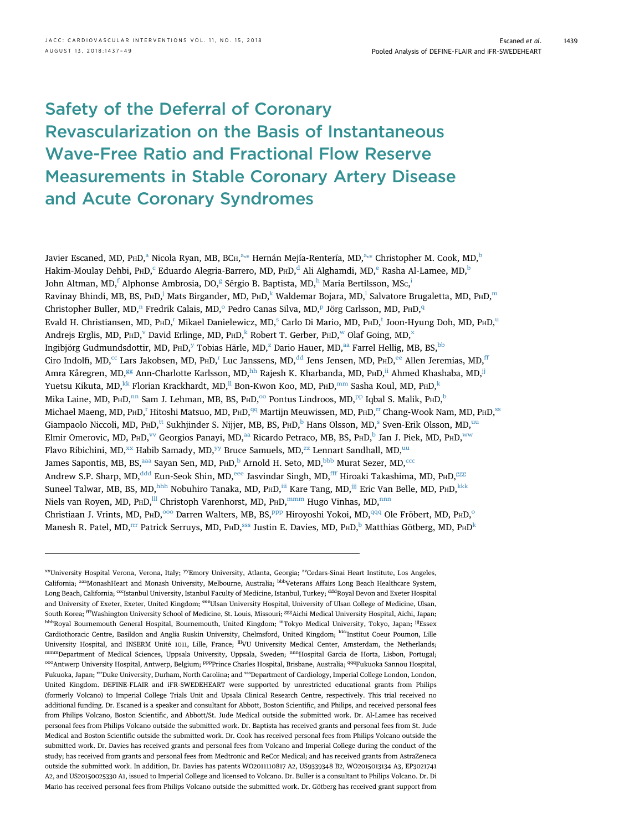## <span id="page-2-0"></span>Safety of the Deferral of Coronary Revascularization on the Basis of Instantaneous Wave-Free Ratio and Fractional Flow Reserve Measurements in Stable Coronary Artery Disease and Acute Coronary Syndromes

J[a](#page-1-0)vier Escaned, MD, P<code>HD,ª</code> Nicola Ryan, MB, BC $_{\rm H}$ . $^{a,*}$  $^{a,*}$  $^{a,*}$  Hernán Mejía-Renterí[a,](#page-1-0) MD, $^{a,*}$  Christopher M. Cook, MD, $^{\rm b}$  $^{\rm b}$  $^{\rm b}$ Hakim-Moulay Dehbi, PHD,<sup>[c](#page-1-0)</sup> E[d](#page-1-0)uardo Al[e](#page-1-0)gria-Barrero, MD, PHD,<sup>d</sup> Ali Alghamdi, MD,<sup>e</sup> Rasha Al-Lamee, MD,<sup>[b](#page-1-0)</sup> John Altman, MD,<sup>[f](#page-1-0)</sup> Alphonse Ambrosia, DO,<sup>[g](#page-1-0)</sup> Sérgio B. Baptista, MD,<sup>[h](#page-1-0)</sup> Mar[i](#page-1-0)a Bertilsson, MSc,<sup>i</sup> Ravinay Bhindi, MB, BS, PHD,<sup>[j](#page-1-0)</sup> Mats Birgander, MD, PHD,<sup>[k](#page-1-0)</sup> Wa[l](#page-1-0)de[m](#page-1-0)ar Bojara, MD,<sup>l</sup> Salvatore Brugaletta, MD, PHD,<sup>m</sup> Christ[o](#page-1-0)[p](#page-1-0)her Buller, MD,<sup>n</sup> Fredrik Calais, MD,<sup>o</sup> Pedro Canas Silva, MD,<sup>p</sup> Jörg Carlsson, MD, P $HD,$ <sup>[q](#page-1-0)</sup> Evald H. Ch[r](#page-1-0)is[t](#page-1-0)iansen, MD, PHD,<s[u](#page-1-0)p>r</sup> Mikael Danielewicz, MD,<sup>s</sup> Carlo Di Mario, MD, PHD,<sup>t</sup> Joon-Hyung Doh, MD, PHD,<sup>u</sup> Andrejs Erglis, MD, PHD,<sup>[v](#page-1-0)</sup> David Erlinge, MD, PHD,<sup>[k](#page-1-0)</sup> Robert T. Gerber, PHD,<sup>[w](#page-1-0)</sup> Olaf Going, MD,<sup>[x](#page-1-0)</sup> Ingibjörg Gudmundsdottir, MD, PHD,<sup>[y](#page-1-0)</sup> Tobias Härle, MD,<sup>[z](#page-1-0)</sup> Dario Hauer, MD,<sup>[aa](#page-1-0)</sup> Farrel Hellig, MB, BS, <sup>[bb](#page-1-0)</sup> Ciro Indolfi, MD,<sup>[cc](#page-1-0)</sup> La[r](#page-1-0)s Jakobsen, MD, PHD,<sup>r</sup> Luc Janssens, MD,<sup>[dd](#page-1-0)</sup> Jens Jensen, MD, PHD,<sup>[ee](#page-1-0)</sup> Allen Jeremias, MD,<sup>[ff](#page-1-0)</sup> Amra Kåregren, MD,<sup>gg</sup> Ann-Charlotte Karlsson, MD,<sup>hh</sup> Rajesh K. Kharbanda, MD, P<sub>H</sub>D,<sup>[ii](#page-1-0)</sup> Ahmed Khashaba, MD,<sup>[jj](#page-1-0)</sup> Yuetsu Kikuta, MD, [kk](#page-1-0) Florian Krac[k](#page-1-0)hardt, MD, I Bon-Kwon Koo, MD, PHD, Inm Sasha Koul, MD, PHD, K Mika Laine, MD, PHD,<sup>[nn](#page-1-0)</sup> Sam J. Lehman, MB, BS, PHD,<sup>00</sup> Pontus Lindr[oo](#page-1-0)s, MD,<sup>[pp](#page-1-0)</sup> Iq[b](#page-1-0)al S. Malik, PHD,<sup>b</sup> Michael Maeng, MD, P<code>HD,</code><sup>[r](#page-1-0)</sup> Hitoshi Matsuo, MD, P<code>HD,<sup>[qq](#page-1-0)</sup> Martijn Meuwissen, MD, P</code>нD,<sup>[rr](#page-1-0)</sup> Chang-Wook Nam, MD, P<code>HD,</code>[ss](#page-1-0) Giampaolo Niccoli, MD, P $HD$ ,<sup>[tt](#page-1-0)</[s](#page-1-0)up> Sukhjinder S. Nijjer, MB, BS, P $HD$ <sup>[b](#page-1-0)</sup> Hans Olsson, MD,<sup>s</sup> Sven-Erik Olsson, MD,<sup>[uu](#page-1-0)</sup> Elmir Omerovic, MD, PHD,<sup>[vv](#page-1-0)</sup> Georgios Panayi, MD,<sup>[aa](#page-1-0)</sup> Ricardo Petraco, MB, BS, PHD,<sup>[b](#page-1-0)</sup> Jan J. Piek, MD, PHD,<sup>[ww](#page-1-0)</sup> Flavo Ribichini, MD,<sup>[xx](#page-1-0)</sup> Habib Samady, MD,<sup>yy</sup> Bruce Samuels, MD,<sup>zz</sup> Lennart Sandhall, MD,<sup>uu</sup> James Sapontis, MB, BS,<sup>aaa</sup> Sayan Sen, MD, P<su[b](#page-1-0)>H</sub>D,<sup>b</sup> Arnold H. Seto, MD,<sup>bbb</sup> Murat Sezer, MD,<sup>ccc</sup> Andrew S.P. Sharp, MD, <sup>ddd</sup> Eun-Seok Shin, MD, <sup>eee</sup> Jasvindar Singh, MD, <sup>fff</sup> Hiroaki Takashima, MD, PHD, <sup>ggg</sup> Suneel Talwar, MB, BS, MD,hhh Nobuhiro Tanaka, MD, PHD,iii Kare Tang, MD,iii Eric Van Belle, MD, PHD, kkk Niels van Royen, MD, PHD,<sup>III</sup> Christoph Varenhorst, MD, PHD,<sup>mmm</sup> Hugo Vinhas, MD,<sup>nnn</sup> Christiaan J. Vrints, MD, PHD,<sup>[o](#page-1-0)oo</sup> Darren Walters, MB, BS,<sup>ppp</sup> Hiroyoshi Yokoi, MD,<sup>qqq</sup> Ole Fröbert, MD, PHD,<sup>o</sup> Manesh R. Patel, MD,<sup>rrr</sup> Patrick Serruys, MD, PHD,<sup>sss</sup> Justin E. Davies, MD, PHD,<sup>[b](#page-1-0)</sup> Matthias Götberg, MD, PHD<sup>[k](#page-1-0)</sup>

xxUniversity Hospital Verona, Verona, Italy; <sup>yy</sup>Emory University, Atlanta, Georgia; <sup>zz</sup>Cedars-Sinai Heart Institute, Los Angeles, California; <sup>aaa</sup>MonashHeart and Monash University, Melbourne, Australia; <sup>bbb</sup>Veterans Affairs Long Beach Healthcare System, Long Beach, California; <sup>ccc</sup>Istanbul University, Istanbul Faculty of Medicine, Istanbul, Turkey; <sup>ddd</sup>Royal Devon and Exeter Hospital and University of Exeter, Exeter, United Kingdom; <sup>eee</sup>Ulsan University Hospital, University of Ulsan College of Medicine, Ulsan, South Korea; <sup>fff</sup>Washington University School of Medicine, St. Louis, Missouri; <sup>ggg</sup>Aichi Medical University Hospital, Aichi, Japan; hhhRoyal Bournemouth General Hospital, Bournemouth, United Kingdom; <sup>iii</sup>Tokyo Medical University, Tokyo, Japan; <sup>jjj</sup>Essex Cardiothoracic Centre, Basildon and Anglia Ruskin University, Chelmsford, United Kingdom; kkkInstitut Coeur Poumon, Lille University Hospital, and INSERM Unité 1011, Lille, France; <sup>III</sup>VU University Medical Center, Amsterdam, the Netherlands; mmmDepartment of Medical Sciences, Uppsala University, Uppsala, Sweden; nnnHospital Garcia de Horta, Lisbon, Portugal; <sup>000</sup>Antwerp University Hospital, Antwerp, Belgium; <sup>ppp</sup>Prince Charles Hospital, Brisbane, Australia; <sup>qqq</sup>Fukuoka Sannou Hospital, Fukuoka, Japan; <sup>rrr</sup>Duke University, Durham, North Carolina; and <sup>sss</sup>Department of Cardiology, Imperial College London, London, United Kingdom. DEFINE-FLAIR and iFR-SWEDEHEART were supported by unrestricted educational grants from Philips (formerly Volcano) to Imperial College Trials Unit and Upsala Clinical Research Centre, respectively. This trial received no additional funding. Dr. Escaned is a speaker and consultant for Abbott, Boston Scientific, and Philips, and received personal fees from Philips Volcano, Boston Scientific, and Abbott/St. Jude Medical outside the submitted work. Dr. Al-Lamee has received personal fees from Philips Volcano outside the submitted work. Dr. Baptista has received grants and personal fees from St. Jude Medical and Boston Scientific outside the submitted work. Dr. Cook has received personal fees from Philips Volcano outside the submitted work. Dr. Davies has received grants and personal fees from Volcano and Imperial College during the conduct of the study; has received from grants and personal fees from Medtronic and ReCor Medical; and has received grants from AstraZeneca outside the submitted work. In addition, Dr. Davies has patents WO2011110817 A2, US9339348 B2, WO2015013134 A3, EP3021741 A2, and US20150025330 A1, issued to Imperial College and licensed to Volcano. Dr. Buller is a consultant to Philips Volcano. Dr. Di Mario has received personal fees from Philips Volcano outside the submitted work. Dr. Götberg has received grant support from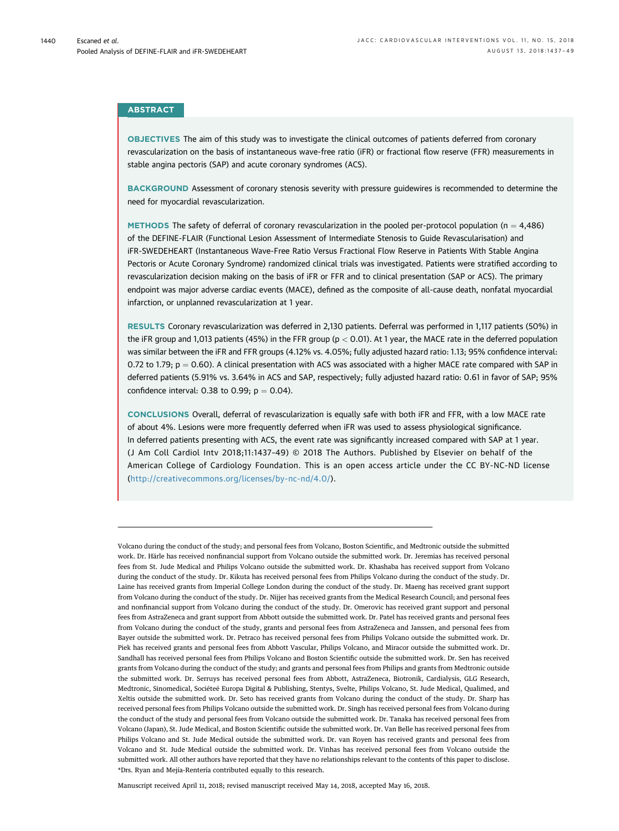#### <span id="page-3-0"></span>**ABSTRACT**

OBJECTIVES The aim of this study was to investigate the clinical outcomes of patients deferred from coronary revascularization on the basis of instantaneous wave-free ratio (iFR) or fractional flow reserve (FFR) measurements in stable angina pectoris (SAP) and acute coronary syndromes (ACS).

BACKGROUND Assessment of coronary stenosis severity with pressure guidewires is recommended to determine the need for myocardial revascularization.

METHODS The safety of deferral of coronary revascularization in the pooled per-protocol population ( $n = 4,486$ ) of the DEFINE-FLAIR (Functional Lesion Assessment of Intermediate Stenosis to Guide Revascularisation) and iFR-SWEDEHEART (Instantaneous Wave-Free Ratio Versus Fractional Flow Reserve in Patients With Stable Angina Pectoris or Acute Coronary Syndrome) randomized clinical trials was investigated. Patients were stratified according to revascularization decision making on the basis of iFR or FFR and to clinical presentation (SAP or ACS). The primary endpoint was major adverse cardiac events (MACE), defined as the composite of all-cause death, nonfatal myocardial infarction, or unplanned revascularization at 1 year.

RESULTS Coronary revascularization was deferred in 2,130 patients. Deferral was performed in 1,117 patients (50%) in the iFR group and 1,013 patients (45%) in the FFR group ( $p < 0.01$ ). At 1 year, the MACE rate in the deferred population was similar between the iFR and FFR groups (4.12% vs. 4.05%; fully adjusted hazard ratio: 1.13; 95% confidence interval: 0.72 to 1.79;  $p = 0.60$ ). A clinical presentation with ACS was associated with a higher MACE rate compared with SAP in deferred patients (5.91% vs. 3.64% in ACS and SAP, respectively; fully adjusted hazard ratio: 0.61 in favor of SAP; 95% confidence interval: 0.38 to 0.99;  $p = 0.04$ ).

CONCLUSIONS Overall, deferral of revascularization is equally safe with both iFR and FFR, with a low MACE rate of about 4%. Lesions were more frequently deferred when iFR was used to assess physiological significance. In deferred patients presenting with ACS, the event rate was significantly increased compared with SAP at 1 year. (J Am Coll Cardiol Intv 2018;11:1437–49) © 2018 The Authors. Published by Elsevier on behalf of the American College of Cardiology Foundation. This is an open access article under the CC BY-NC-ND license ([http://creativecommons.org/licenses/by-nc-nd/4.0/\)](http://creativecommons.org/licenses/by-nc-nd/4.0/).

Volcano during the conduct of the study; and personal fees from Volcano, Boston Scientific, and Medtronic outside the submitted work. Dr. Härle has received nonfinancial support from Volcano outside the submitted work. Dr. Jeremias has received personal fees from St. Jude Medical and Philips Volcano outside the submitted work. Dr. Khashaba has received support from Volcano during the conduct of the study. Dr. Kikuta has received personal fees from Philips Volcano during the conduct of the study. Dr. Laine has received grants from Imperial College London during the conduct of the study. Dr. Maeng has received grant support from Volcano during the conduct of the study. Dr. Nijjer has received grants from the Medical Research Council; and personal fees and nonfinancial support from Volcano during the conduct of the study. Dr. Omerovic has received grant support and personal fees from AstraZeneca and grant support from Abbott outside the submitted work. Dr. Patel has received grants and personal fees from Volcano during the conduct of the study, grants and personal fees from AstraZeneca and Janssen, and personal fees from Bayer outside the submitted work. Dr. Petraco has received personal fees from Philips Volcano outside the submitted work. Dr. Piek has received grants and personal fees from Abbott Vascular, Philips Volcano, and Miracor outside the submitted work. Dr. Sandhall has received personal fees from Philips Volcano and Boston Scientific outside the submitted work. Dr. Sen has received grants from Volcano during the conduct of the study; and grants and personal fees from Philips and grants from Medtronic outside the submitted work. Dr. Serruys has received personal fees from Abbott, AstraZeneca, Biotronik, Cardialysis, GLG Research, Medtronic, Sinomedical, Sociéteé Europa Digital & Publishing, Stentys, Svelte, Philips Volcano, St. Jude Medical, Qualimed, and Xeltis outside the submitted work. Dr. Seto has received grants from Volcano during the conduct of the study. Dr. Sharp has received personal fees from Philips Volcano outside the submitted work. Dr. Singh has received personal fees from Volcano during the conduct of the study and personal fees from Volcano outside the submitted work. Dr. Tanaka has received personal fees from Volcano (Japan), St. Jude Medical, and Boston Scientific outside the submitted work. Dr. Van Belle has received personal fees from Philips Volcano and St. Jude Medical outside the submitted work. Dr. van Royen has received grants and personal fees from Volcano and St. Jude Medical outside the submitted work. Dr. Vinhas has received personal fees from Volcano outside the submitted work. All other authors have reported that they have no relationships relevant to the contents of this paper to disclose. \*Drs. Ryan and Mejía-Rentería contributed equally to this research.

Manuscript received April 11, 2018; revised manuscript received May 14, 2018, accepted May 16, 2018.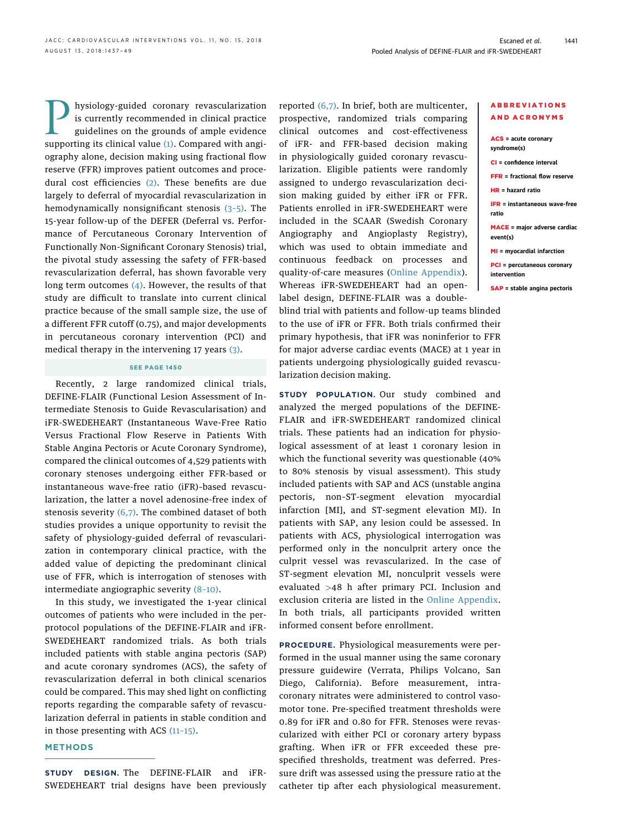**P** hysiology-guided coronary revascularization<br>is currently recommended in clinical practice<br>guidelines on the grounds of ample evidence<br>supporting its clinical value (1) Compared with angiis currently recommended in clinical practice guidelines on the grounds of ample evidence supporting its clinical value [\(1\).](#page-11-0) Compared with angiography alone, decision making using fractional flow reserve (FFR) improves patient outcomes and procedural cost efficiencies [\(2\)](#page-11-0). These benefits are due largely to deferral of myocardial revascularization in hemodynamically nonsignificant stenosis (3–[5\)](#page-11-0). The 15-year follow-up of the DEFER (Deferral vs. Performance of Percutaneous Coronary Intervention of Functionally Non-Significant Coronary Stenosis) trial, the pivotal study assessing the safety of FFR-based revascularization deferral, has shown favorable very long term outcomes [\(4\)](#page-11-0). However, the results of that study are difficult to translate into current clinical practice because of the small sample size, the use of a different FFR cutoff (0.75), and major developments in percutaneous coronary intervention (PCI) and medical therapy in the intervening 17 years [\(3\).](#page-11-0)

#### SEE PAGE 1450

Recently, 2 large randomized clinical trials, DEFINE-FLAIR (Functional Lesion Assessment of Intermediate Stenosis to Guide Revascularisation) and iFR-SWEDEHEART (Instantaneous Wave-Free Ratio Versus Fractional Flow Reserve in Patients With Stable Angina Pectoris or Acute Coronary Syndrome), compared the clinical outcomes of 4,529 patients with coronary stenoses undergoing either FFR-based or instantaneous wave-free ratio (iFR)–based revascularization, the latter a novel adenosine-free index of stenosis severity  $(6,7)$ . The combined dataset of both studies provides a unique opportunity to revisit the safety of physiology-guided deferral of revascularization in contemporary clinical practice, with the added value of depicting the predominant clinical use of FFR, which is interrogation of stenoses with intermediate angiographic severity (8–[10\).](#page-11-0)

In this study, we investigated the 1-year clinical outcomes of patients who were included in the perprotocol populations of the DEFINE-FLAIR and iFR-SWEDEHEART randomized trials. As both trials included patients with stable angina pectoris (SAP) and acute coronary syndromes (ACS), the safety of revascularization deferral in both clinical scenarios could be compared. This may shed light on conflicting reports regarding the comparable safety of revascularization deferral in patients in stable condition and in those presenting with ACS (11–[15\)](#page-11-0).

#### METHODS

STUDY DESIGN. The DEFINE-FLAIR and iFR-SWEDEHEART trial designs have been previously reported [\(6,7\)](#page-11-0). In brief, both are multicenter, prospective, randomized trials comparing clinical outcomes and cost-effectiveness of iFR- and FFR-based decision making in physiologically guided coronary revascularization. Eligible patients were randomly assigned to undergo revascularization decision making guided by either iFR or FFR. Patients enrolled in iFR-SWEDEHEART were included in the SCAAR (Swedish Coronary Angiography and Angioplasty Registry), which was used to obtain immediate and continuous feedback on processes and quality-of-care measures [\(Online Appendix\)](https://doi.org/10.1016/j.jcin.2018.05.029). Whereas iFR-SWEDEHEART had an openlabel design, DEFINE-FLAIR was a double-

blind trial with patients and follow-up teams blinded to the use of iFR or FFR. Both trials confirmed their primary hypothesis, that iFR was noninferior to FFR for major adverse cardiac events (MACE) at 1 year in patients undergoing physiologically guided revascularization decision making.

STUDY POPULATION. Our study combined and analyzed the merged populations of the DEFINE-FLAIR and iFR-SWEDEHEART randomized clinical trials. These patients had an indication for physiological assessment of at least 1 coronary lesion in which the functional severity was questionable (40% to 80% stenosis by visual assessment). This study included patients with SAP and ACS (unstable angina pectoris, non–ST-segment elevation myocardial infarction [MI], and ST-segment elevation MI). In patients with SAP, any lesion could be assessed. In patients with ACS, physiological interrogation was performed only in the nonculprit artery once the culprit vessel was revascularized. In the case of ST-segment elevation MI, nonculprit vessels were evaluated >48 h after primary PCI. Inclusion and exclusion criteria are listed in the [Online Appendix.](https://doi.org/10.1016/j.jcin.2018.05.029) In both trials, all participants provided written informed consent before enrollment.

PROCEDURE. Physiological measurements were performed in the usual manner using the same coronary pressure guidewire (Verrata, Philips Volcano, San Diego, California). Before measurement, intracoronary nitrates were administered to control vasomotor tone. Pre-specified treatment thresholds were 0.89 for iFR and 0.80 for FFR. Stenoses were revascularized with either PCI or coronary artery bypass grafting. When iFR or FFR exceeded these prespecified thresholds, treatment was deferred. Pressure drift was assessed using the pressure ratio at the catheter tip after each physiological measurement.

#### ABBREVIATIONS AND ACRONYMS

| <b>ACS</b> = acute coronary          |
|--------------------------------------|
| svndrome(s)                          |
| $CI = confidence interval$           |
| <b>FFR</b> = fractional flow reserve |
| $HR = hazard ratio$                  |
| <b>iFR</b> = instantaneous wave-free |
| ratio                                |
| <b>MACE</b> = major adverse cardiac  |
| event(s)                             |
| $MI = myocardial infarction$         |
| <b>PCI</b> = percutaneous coronary   |
| intervention                         |
| <b>SAP</b> = stable angina pectoris  |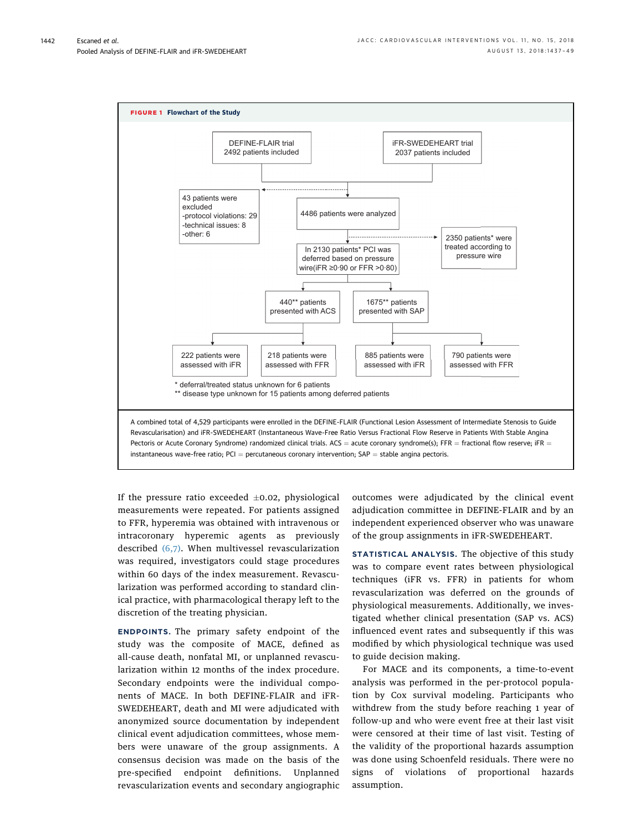<span id="page-5-0"></span>

If the pressure ratio exceeded  $\pm$ 0.02, physiological measurements were repeated. For patients assigned to FFR, hyperemia was obtained with intravenous or intracoronary hyperemic agents as previously described [\(6,7\)](#page-11-0). When multivessel revascularization was required, investigators could stage procedures within 60 days of the index measurement. Revascularization was performed according to standard clinical practice, with pharmacological therapy left to the discretion of the treating physician.

ENDPOINTS. The primary safety endpoint of the study was the composite of MACE, defined as all-cause death, nonfatal MI, or unplanned revascularization within 12 months of the index procedure. Secondary endpoints were the individual components of MACE. In both DEFINE-FLAIR and iFR-SWEDEHEART, death and MI were adjudicated with anonymized source documentation by independent clinical event adjudication committees, whose members were unaware of the group assignments. A consensus decision was made on the basis of the pre-specified endpoint definitions. Unplanned revascularization events and secondary angiographic

outcomes were adjudicated by the clinical event adjudication committee in DEFINE-FLAIR and by an independent experienced observer who was unaware of the group assignments in iFR-SWEDEHEART.

STATISTICAL ANALYSIS. The objective of this study was to compare event rates between physiological techniques (iFR vs. FFR) in patients for whom revascularization was deferred on the grounds of physiological measurements. Additionally, we investigated whether clinical presentation (SAP vs. ACS) influenced event rates and subsequently if this was modified by which physiological technique was used to guide decision making.

For MACE and its components, a time-to-event analysis was performed in the per-protocol population by Cox survival modeling. Participants who withdrew from the study before reaching 1 year of follow-up and who were event free at their last visit were censored at their time of last visit. Testing of the validity of the proportional hazards assumption was done using Schoenfeld residuals. There were no signs of violations of proportional hazards assumption.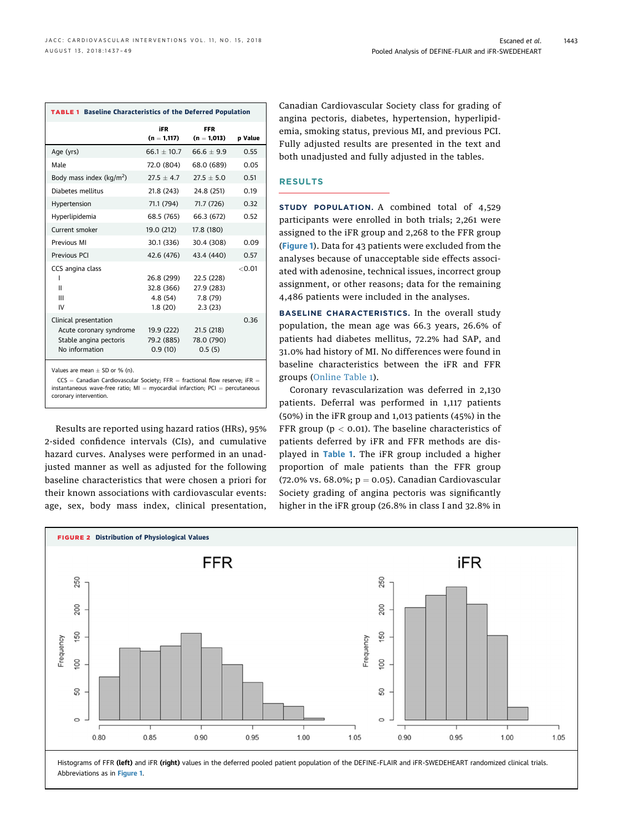<span id="page-6-0"></span>

| <b>TABLE 1 Baseline Characteristics of the Deferred Population</b>                           |                                                 |                                                |                |  |  |
|----------------------------------------------------------------------------------------------|-------------------------------------------------|------------------------------------------------|----------------|--|--|
|                                                                                              | iFR<br>$(n = 1, 117)$                           | FFR<br>$(n = 1,013)$                           | <b>p</b> Value |  |  |
| Age (yrs)                                                                                    | $66.1 \pm 10.7$                                 | $66.6 + 9.9$                                   | 0.55           |  |  |
| Male                                                                                         | 72.0 (804)                                      | 68.0 (689)                                     | 0.05           |  |  |
| Body mass index ( $\text{kg/m}^2$ )                                                          | $275 + 47$                                      | $27.5 + 5.0$                                   | 0.51           |  |  |
| Diabetes mellitus                                                                            | 21.8 (243)                                      | 24.8 (251)                                     | 0.19           |  |  |
| Hypertension                                                                                 | 71.1 (794)                                      | 71.7 (726)                                     | 0.32           |  |  |
| Hyperlipidemia                                                                               | 68.5 (765)                                      | 66.3 (672)                                     | 0.52           |  |  |
| Current smoker                                                                               | 19.0 (212)                                      | 17.8 (180)                                     |                |  |  |
| Previous MI                                                                                  | 30.1 (336)                                      | 30.4 (308)                                     | 0.09           |  |  |
| Previous PCI                                                                                 | 42.6 (476)                                      | 43.4 (440)                                     | 0.57           |  |  |
| CCS angina class<br>$\mathbf{H}$<br>Ш<br>IV                                                  | 26.8 (299)<br>32.8 (366)<br>4.8 (54)<br>1.8(20) | 22.5 (228)<br>27.9 (283)<br>7.8(79)<br>2.3(23) | < 0.01         |  |  |
| Clinical presentation<br>Acute coronary syndrome<br>Stable angina pectoris<br>No information | 19.9 (222)<br>79.2 (885)<br>0.9(10)             | 21.5(218)<br>78.0 (790)<br>0.5(5)              | 0.36           |  |  |
|                                                                                              |                                                 |                                                |                |  |  |

Values are mean  $\pm$  SD or % (n).

 $CCS =$  Canadian Cardiovascular Society; FFR = fractional flow reserve; iFR = instantaneous wave-free ratio;  $M1 = m$ yocardial infarction; PCI = percutaneous coronary intervention.

Results are reported using hazard ratios (HRs), 95% 2-sided confidence intervals (CIs), and cumulative hazard curves. Analyses were performed in an unadjusted manner as well as adjusted for the following baseline characteristics that were chosen a priori for their known associations with cardiovascular events: age, sex, body mass index, clinical presentation,

Canadian Cardiovascular Society class for grading of angina pectoris, diabetes, hypertension, hyperlipidemia, smoking status, previous MI, and previous PCI. Fully adjusted results are presented in the text and both unadjusted and fully adjusted in the tables.

#### RESULTS

STUDY POPULATION. A combined total of 4,529 participants were enrolled in both trials; 2,261 were assigned to the iFR group and 2,268 to the FFR group ([Figure 1](#page-5-0)). Data for 43 patients were excluded from the analyses because of unacceptable side effects associated with adenosine, technical issues, incorrect group assignment, or other reasons; data for the remaining 4,486 patients were included in the analyses.

BASELINE CHARACTERISTICS. In the overall study population, the mean age was 66.3 years, 26.6% of patients had diabetes mellitus, 72.2% had SAP, and 31.0% had history of MI. No differences were found in baseline characteristics between the iFR and FFR groups ([Online Table 1\)](https://doi.org/10.1016/j.jcin.2018.05.029).

Coronary revascularization was deferred in 2,130 patients. Deferral was performed in 1,117 patients (50%) in the iFR group and 1,013 patients (45%) in the FFR group ( $p < 0.01$ ). The baseline characteristics of patients deferred by iFR and FFR methods are displayed in Table 1. The iFR group included a higher proportion of male patients than the FFR group (72.0% vs. 68.0%;  $p = 0.05$ ). Canadian Cardiovascular Society grading of angina pectoris was significantly higher in the iFR group (26.8% in class I and 32.8% in



Histograms of FFR (left) and iFR (right) values in the deferred pooled patient population of the DEFINE-FLAIR and iFR-SWEDEHEART randomized clinical trials. Abbreviations as in [Figure 1](#page-5-0).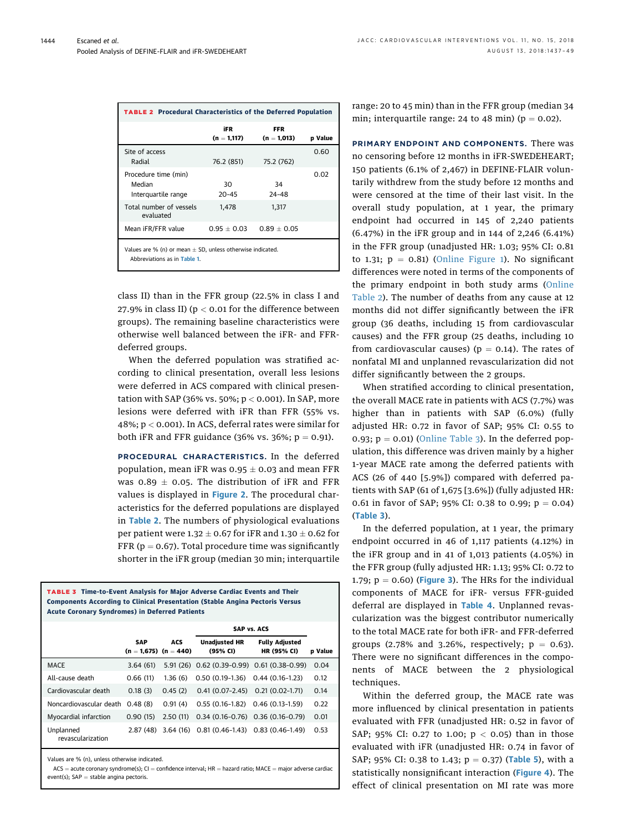<span id="page-7-0"></span>

| <b>TABLE 2</b> Procedural Characteristics of the Deferred Population                          |                       |                             |         |  |  |
|-----------------------------------------------------------------------------------------------|-----------------------|-----------------------------|---------|--|--|
|                                                                                               | iFR<br>$(n = 1, 117)$ | <b>FFR</b><br>$(n = 1,013)$ | p Value |  |  |
| Site of access<br>Radial                                                                      | 76.2 (851)            | 75.2 (762)                  | 0.60    |  |  |
| Procedure time (min)<br>Median<br>Interguartile range                                         | 30<br>$20 - 45$       | 34<br>$24 - 48$             | 0.02    |  |  |
| Total number of vessels<br>evaluated                                                          | 1.478                 | 1,317                       |         |  |  |
| Mean iFR/FFR value                                                                            | $0.95 + 0.03$         | $0.89 + 0.05$               |         |  |  |
| Values are % (n) or mean $\pm$ SD, unless otherwise indicated.<br>Abbreviations as in Table 1 |                       |                             |         |  |  |

class II) than in the FFR group (22.5% in class I and 27.9% in class II) ( $p < 0.01$  for the difference between groups). The remaining baseline characteristics were otherwise well balanced between the iFR- and FFRdeferred groups.

When the deferred population was stratified according to clinical presentation, overall less lesions were deferred in ACS compared with clinical presentation with SAP (36% vs. 50%;  $p < 0.001$ ). In SAP, more lesions were deferred with iFR than FFR (55% vs. 48%; p < 0.001). In ACS, deferral rates were similar for both iFR and FFR guidance (36% vs. 36%;  $p = 0.91$ ).

PROCEDURAL CHARACTERISTICS. In the deferred population, mean iFR was 0.95  $\pm$  0.03 and mean FFR was 0.89  $\pm$  0.05. The distribution of iFR and FFR values is displayed in [Figure 2](#page-6-0). The procedural characteristics for the deferred populations are displayed in **Table 2.** The numbers of physiological evaluations per patient were 1.32  $\pm$  0.67 for iFR and 1.30  $\pm$  0.62 for FFR ( $p = 0.67$ ). Total procedure time was significantly shorter in the iFR group (median 30 min; interquartile

TABLE 3 Time-to-Event Analysis for Major Adverse Cardiac Events and Their Components According to Clinical Presentation (Stable Angina Pectoris Versus Acute Coronary Syndromes) in Deferred Patients

|                                |                                         |           | <b>SAP vs. ACS</b>                          |                                             |         |
|--------------------------------|-----------------------------------------|-----------|---------------------------------------------|---------------------------------------------|---------|
|                                | <b>SAP</b><br>$(n = 1,675)$ $(n = 440)$ | ACS       | <b>Unadiusted HR</b><br>(95% CI)            | <b>Fully Adiusted</b><br><b>HR (95% CI)</b> | p Value |
| MACE                           | 3.64(61)                                |           | 5.91 (26) 0.62 (0.39-0.99) 0.61 (0.38-0.99) |                                             | 0.04    |
| All-cause death                | 0.66(11)                                | 1.36(6)   | $0.50(0.19-1.36)$                           | $0.44(0.16-1.23)$                           | 0.12    |
| Cardiovascular death           | 0.18(3)                                 | 0.45(2)   | $0.41(0.07-2.45)$                           | $0.21(0.02-1.71)$                           | 0.14    |
| Noncardiovascular death        | 0.48(8)                                 | 0.91(4)   | $0.55(0.16-1.82)$                           | $0.46(0.13-1.59)$                           | 0.22    |
| Myocardial infarction          | 0.90(15)                                | 2.50(11)  | $0.34(0.16-0.76)$ 0.36 $(0.16-0.79)$        |                                             | 0.01    |
| Unplanned<br>revascularization | 2.87 (48)                               | 3.64 (16) | $0.81(0.46-1.43)$ $0.83(0.46-1.49)$         |                                             | 0.53    |

Values are % (n), unless otherwise indicated.

 $ACS = acute \text{ coronary syndrome(s)}; \text{Cl} = \text{confidence interval}; \text{HR} = \text{hazard ratio}; \text{MACE} = \text{major adverse cardiac}$  $event(s)$ ;  $SAP = stable$  angina pectoris.

range: 20 to 45 min) than in the FFR group (median 34 min; interquartile range: 24 to 48 min) ( $p = 0.02$ ).

PRIMARY ENDPOINT AND COMPONENTS. There was no censoring before 12 months in iFR-SWEDEHEART; 150 patients (6.1% of 2,467) in DEFINE-FLAIR voluntarily withdrew from the study before 12 months and were censored at the time of their last visit. In the overall study population, at 1 year, the primary endpoint had occurred in 145 of 2,240 patients (6.47%) in the iFR group and in 144 of 2,246 (6.41%) in the FFR group (unadjusted HR: 1.03; 95% CI: 0.81 to 1.31;  $p = 0.81$ ) [\(Online Figure 1](https://doi.org/10.1016/j.jcin.2018.05.029)). No significant differences were noted in terms of the components of the primary endpoint in both study arms ([Online](https://doi.org/10.1016/j.jcin.2018.05.029) [Table 2](https://doi.org/10.1016/j.jcin.2018.05.029)). The number of deaths from any cause at 12 months did not differ significantly between the iFR group (36 deaths, including 15 from cardiovascular causes) and the FFR group (25 deaths, including 10 from cardiovascular causes) ( $p = 0.14$ ). The rates of nonfatal MI and unplanned revascularization did not differ significantly between the 2 groups.

When stratified according to clinical presentation, the overall MACE rate in patients with ACS (7.7%) was higher than in patients with SAP (6.0%) (fully adjusted HR: 0.72 in favor of SAP; 95% CI: 0.55 to 0.93;  $p = 0.01$ ) ([Online Table 3](https://doi.org/10.1016/j.jcin.2018.05.029)). In the deferred population, this difference was driven mainly by a higher 1-year MACE rate among the deferred patients with ACS (26 of 440 [5.9%]) compared with deferred patients with SAP (61 of 1,675 [3.6%]) (fully adjusted HR: 0.61 in favor of SAP; 95% CI: 0.38 to 0.99;  $p = 0.04$ ) (Table 3).

In the deferred population, at 1 year, the primary endpoint occurred in 46 of 1,117 patients (4.12%) in the iFR group and in 41 of 1,013 patients (4.05%) in the FFR group (fully adjusted HR: 1.13; 95% CI: 0.72 to 1.79;  $p = 0.60$ ) ([Figure 3](#page-8-0)). The HRs for the individual components of MACE for iFR- versus FFR-guided deferral are displayed in [Table 4](#page-8-0). Unplanned revascularization was the biggest contributor numerically to the total MACE rate for both iFR- and FFR-deferred groups (2.78% and 3.26%, respectively;  $p = 0.63$ ). There were no significant differences in the components of MACE between the 2 physiological techniques.

Within the deferred group, the MACE rate was more influenced by clinical presentation in patients evaluated with FFR (unadjusted HR: 0.52 in favor of SAP; 95% CI: 0.27 to 1.00;  $p < 0.05$ ) than in those evaluated with iFR (unadjusted HR: 0.74 in favor of SAP; 95% CI: 0.38 to 1.43;  $p = 0.37$ ) ([Table 5](#page-9-0)), with a statistically nonsignificant interaction ([Figure 4](#page-9-0)). The effect of clinical presentation on MI rate was more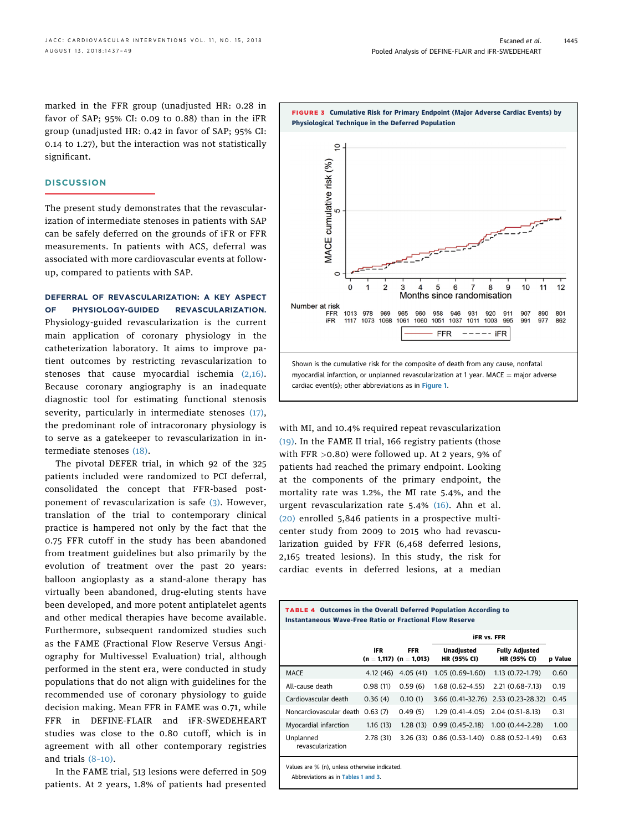<span id="page-8-0"></span>marked in the FFR group (unadjusted HR: 0.28 in favor of SAP; 95% CI: 0.09 to 0.88) than in the iFR group (unadjusted HR: 0.42 in favor of SAP; 95% CI: 0.14 to 1.27), but the interaction was not statistically significant.

#### **DISCUSSION**

The present study demonstrates that the revascularization of intermediate stenoses in patients with SAP can be safely deferred on the grounds of iFR or FFR measurements. In patients with ACS, deferral was associated with more cardiovascular events at followup, compared to patients with SAP.

### DEFERRAL OF REVASCULARIZATION: A KEY ASPECT

OF PHYSIOLOGY-GUIDED REVASCULARIZATION Physiology-guided revascularization is the current main application of coronary physiology in the catheterization laboratory. It aims to improve patient outcomes by restricting revascularization to stenoses that cause myocardial ischemia [\(2,16\).](#page-11-0) Because coronary angiography is an inadequate diagnostic tool for estimating functional stenosis severity, particularly in intermediate stenoses [\(17\),](#page-12-0) the predominant role of intracoronary physiology is to serve as a gatekeeper to revascularization in intermediate stenoses [\(18\).](#page-12-0)

The pivotal DEFER trial, in which 92 of the 325 patients included were randomized to PCI deferral, consolidated the concept that FFR-based post-ponement of revascularization is safe [\(3\)](#page-11-0). However, translation of the trial to contemporary clinical practice is hampered not only by the fact that the 0.75 FFR cutoff in the study has been abandoned from treatment guidelines but also primarily by the evolution of treatment over the past 20 years: balloon angioplasty as a stand-alone therapy has virtually been abandoned, drug-eluting stents have been developed, and more potent antiplatelet agents and other medical therapies have become available. Furthermore, subsequent randomized studies such as the FAME (Fractional Flow Reserve Versus Angiography for Multivessel Evaluation) trial, although performed in the stent era, were conducted in study populations that do not align with guidelines for the recommended use of coronary physiology to guide decision making. Mean FFR in FAME was 0.71, while FFR in DEFINE-FLAIR and iFR-SWEDEHEART studies was close to the 0.80 cutoff, which is in agreement with all other contemporary registries and trials  $(8-10)$  $(8-10)$ .

In the FAME trial, 513 lesions were deferred in 509 patients. At 2 years, 1.8% of patients had presented



with MI, and 10.4% required repeat revascularization [\(19\)](#page-12-0). In the FAME II trial, 166 registry patients (those with FFR >0.80) were followed up. At 2 years, 9% of patients had reached the primary endpoint. Looking at the components of the primary endpoint, the mortality rate was 1.2%, the MI rate 5.4%, and the urgent revascularization rate 5.4% [\(16\).](#page-12-0) Ahn et al. [\(20\)](#page-12-0) enrolled 5,846 patients in a prospective multicenter study from 2009 to 2015 who had revascularization guided by FFR (6,468 deferred lesions, 2,165 treated lesions). In this study, the risk for cardiac events in deferred lesions, at a median

|                                  |           |                                           | <b>IFR vs. FFR</b>                          |                                      |         |
|----------------------------------|-----------|-------------------------------------------|---------------------------------------------|--------------------------------------|---------|
|                                  | iFR       | <b>FFR</b><br>$(n = 1,117)$ $(n = 1,013)$ | <b>Unadjusted</b><br><b>HR (95% CI)</b>     | <b>Fully Adjusted</b><br>HR (95% CI) | p Value |
| MACE                             | 4.12 (46) | 4.05(41)                                  | $1.05(0.69-1.60)$                           | 1.13 (0.72-1.79)                     | 0.60    |
| All-cause death                  | 0.98(11)  | 0.59(6)                                   | $1.68(0.62 - 4.55)$                         | $2.21(0.68 - 7.13)$                  | 0.19    |
| Cardiovascular death             | 0.36(4)   | 0.10(1)                                   |                                             | 3.66 (0.41-32.76) 2.53 (0.23-28.32)  | 0.45    |
| Noncardiovascular death 0.63 (7) |           | 0.49(5)                                   | $1.29(0.41-4.05)$ $2.04(0.51-8.13)$         |                                      | 0.31    |
| Myocardial infarction            | 1.16(13)  | 1.28(13)                                  | $0.99(0.45-2.18)$ 1.00 $(0.44-2.28)$        |                                      | 1.00    |
| Unplanned<br>revascularization   | 2.78(31)  |                                           | 3.26 (33) 0.86 (0.53-1.40) 0.88 (0.52-1.49) |                                      | 0.63    |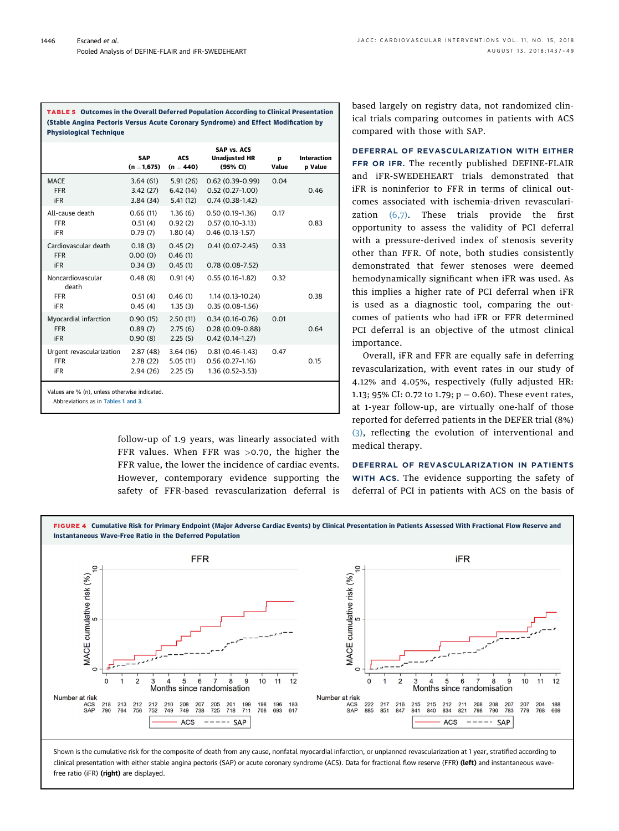| <b>Physiological Technique</b>                                                       |                                  |                                  |                                                                 |            |                               |
|--------------------------------------------------------------------------------------|----------------------------------|----------------------------------|-----------------------------------------------------------------|------------|-------------------------------|
|                                                                                      | <b>SAP</b><br>$(n = 1,675)$      | <b>ACS</b><br>$(n = 440)$        | <b>SAP vs. ACS</b><br><b>Unadjusted HR</b><br>(95% CI)          | p<br>Value | <b>Interaction</b><br>p Value |
| <b>MACE</b><br><b>FFR</b><br>iFR                                                     | 3.64(61)<br>3.42(27)<br>3.84(34) | 5.91(26)<br>6.42(14)<br>5.41(12) | $0.62(0.39-0.99)$<br>$0.52(0.27-1.00)$<br>$0.74(0.38-1.42)$     | 0.04       | 0.46                          |
| All-cause death<br><b>FFR</b><br>iFR                                                 | 0.66(11)<br>0.51(4)<br>0.79(7)   | 1.36(6)<br>0.92(2)<br>1.80(4)    | $0.50(0.19-1.36)$<br>$0.57(0.10-3.13)$<br>$0.46(0.13-1.57)$     | 0.17       | 0.83                          |
| Cardiovascular death<br><b>FFR</b><br><b>iFR</b>                                     | 0.18(3)<br>0.00(0)<br>0.34(3)    | 0.45(2)<br>0.46(1)<br>0.45(1)    | $0.41(0.07 - 2.45)$<br>$0.78(0.08-7.52)$                        | 0.33       |                               |
| Noncardiovascular<br>death<br><b>FFR</b><br>iFR                                      | 0.48(8)<br>0.51(4)<br>0.45(4)    | 0.91(4)<br>0.46(1)<br>1.35(3)    | $0.55(0.16-1.82)$<br>$1.14(0.13-10.24)$<br>$0.35(0.08-1.56)$    | 0.32       | 0.38                          |
| Myocardial infarction<br><b>FFR</b><br>iFR                                           | 0.90(15)<br>0.89(7)<br>0.90(8)   | 2.50(11)<br>2.75(6)<br>2.25(5)   | $0.34(0.16 - 0.76)$<br>$0.28(0.09 - 0.88)$<br>$0.42(0.14-1.27)$ | 0.01       | 0.64                          |
| Urgent revascularization<br><b>FFR</b><br><b>iFR</b>                                 | 2.87(48)<br>2.78(22)<br>2.94(26) | 3.64(16)<br>5.05(11)<br>2.25(5)  | $0.81(0.46-1.43)$<br>$0.56(0.27-1.16)$<br>1.36 (0.52-3.53)      | 0.47       | 0.15                          |
| Values are % (n), unless otherwise indicated.<br>Abbreviations as in Tables 1 and 3. |                                  |                                  |                                                                 |            |                               |

<span id="page-9-0"></span>TABLE 5 Outcomes in the Overall Deferred Population According to Clinical Presentation (Stable Angina Pectoris Versus Acute Coronary Syndrome) and Effect Modification by

> follow-up of 1.9 years, was linearly associated with FFR values. When FFR was >0.70, the higher the FFR value, the lower the incidence of cardiac events. However, contemporary evidence supporting the safety of FFR-based revascularization deferral is

based largely on registry data, not randomized clinical trials comparing outcomes in patients with ACS compared with those with SAP.

#### DEFERRAL OF REVASCULARIZATION WITH EITHER

FFR OR IFR. The recently published DEFINE-FLAIR and iFR-SWEDEHEART trials demonstrated that iFR is noninferior to FFR in terms of clinical outcomes associated with ischemia-driven revascularization [\(6,7\).](#page-11-0) These trials provide the first opportunity to assess the validity of PCI deferral with a pressure-derived index of stenosis severity other than FFR. Of note, both studies consistently demonstrated that fewer stenoses were deemed hemodynamically significant when iFR was used. As this implies a higher rate of PCI deferral when iFR is used as a diagnostic tool, comparing the outcomes of patients who had iFR or FFR determined PCI deferral is an objective of the utmost clinical importance.

Overall, iFR and FFR are equally safe in deferring revascularization, with event rates in our study of 4.12% and 4.05%, respectively (fully adjusted HR: 1.13; 95% CI: 0.72 to 1.79;  $p = 0.60$ ). These event rates, at 1-year follow-up, are virtually one-half of those reported for deferred patients in the DEFER trial (8%) [\(3\),](#page-11-0) reflecting the evolution of interventional and medical therapy.

DEFERRAL OF REVASCULARIZATION IN PATIENTS WITH ACS. The evidence supporting the safety of deferral of PCI in patients with ACS on the basis of





Shown is the cumulative risk for the composite of death from any cause, nonfatal myocardial infarction, or unplanned revascularization at 1 year, stratified according to clinical presentation with either stable angina pectoris (SAP) or acute coronary syndrome (ACS). Data for fractional flow reserve (FFR) (left) and instantaneous wavefree ratio (iFR) (right) are displayed.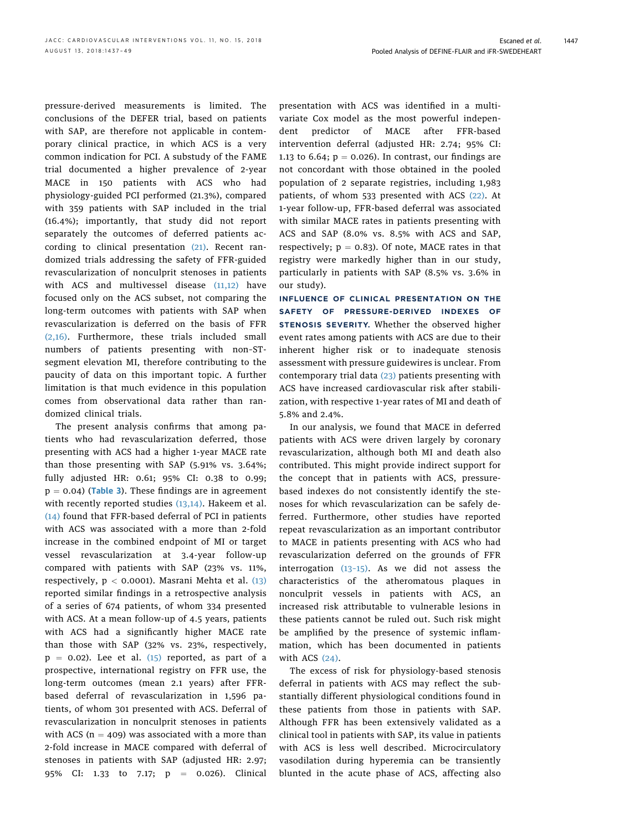pressure-derived measurements is limited. The conclusions of the DEFER trial, based on patients with SAP, are therefore not applicable in contemporary clinical practice, in which ACS is a very common indication for PCI. A substudy of the FAME trial documented a higher prevalence of 2-year MACE in 150 patients with ACS who had physiology-guided PCI performed (21.3%), compared with 359 patients with SAP included in the trial (16.4%); importantly, that study did not report separately the outcomes of deferred patients according to clinical presentation [\(21\).](#page-12-0) Recent randomized trials addressing the safety of FFR-guided revascularization of nonculprit stenoses in patients with ACS and multivessel disease [\(11,12\)](#page-11-0) have focused only on the ACS subset, not comparing the long-term outcomes with patients with SAP when revascularization is deferred on the basis of FFR [\(2,16\).](#page-11-0) Furthermore, these trials included small numbers of patients presenting with non–STsegment elevation MI, therefore contributing to the paucity of data on this important topic. A further limitation is that much evidence in this population comes from observational data rather than randomized clinical trials.

The present analysis confirms that among patients who had revascularization deferred, those presenting with ACS had a higher 1-year MACE rate than those presenting with SAP (5.91% vs. 3.64%; fully adjusted HR: 0.61; 95% CI: 0.38 to 0.99;  $p = 0.04$ ) ([Table 3](#page-7-0)). These findings are in agreement with recently reported studies [\(13,14\)](#page-12-0). Hakeem et al. [\(14\)](#page-12-0) found that FFR-based deferral of PCI in patients with ACS was associated with a more than 2-fold increase in the combined endpoint of MI or target vessel revascularization at 3.4-year follow-up compared with patients with SAP (23% vs. 11%, respectively,  $p < 0.0001$ ). Masrani Mehta et al.  $(13)$ reported similar findings in a retrospective analysis of a series of 674 patients, of whom 334 presented with ACS. At a mean follow-up of 4.5 years, patients with ACS had a significantly higher MACE rate than those with SAP (32% vs. 23%, respectively,  $p = 0.02$ ). Lee et al.  $(15)$  reported, as part of a prospective, international registry on FFR use, the long-term outcomes (mean 2.1 years) after FFRbased deferral of revascularization in 1,596 patients, of whom 301 presented with ACS. Deferral of revascularization in nonculprit stenoses in patients with ACS ( $n = 409$ ) was associated with a more than 2-fold increase in MACE compared with deferral of stenoses in patients with SAP (adjusted HR: 2.97; 95% CI: 1.33 to 7.17;  $p = 0.026$ ). Clinical

presentation with ACS was identified in a multivariate Cox model as the most powerful independent predictor of MACE after FFR-based intervention deferral (adjusted HR: 2.74; 95% CI: 1.13 to 6.64;  $p = 0.026$ ). In contrast, our findings are not concordant with those obtained in the pooled population of 2 separate registries, including 1,983 patients, of whom 533 presented with ACS [\(22\)](#page-12-0). At 1-year follow-up, FFR-based deferral was associated with similar MACE rates in patients presenting with ACS and SAP (8.0% vs. 8.5% with ACS and SAP, respectively;  $p = 0.83$ ). Of note, MACE rates in that registry were markedly higher than in our study, particularly in patients with SAP (8.5% vs. 3.6% in our study).

INFLUENCE OF CLINICAL PRESENTATION ON THE SAFETY OF PRESSURE-DERIVED INDEXES OF STENOSIS SEVERITY. Whether the observed higher event rates among patients with ACS are due to their inherent higher risk or to inadequate stenosis assessment with pressure guidewires is unclear. From contemporary trial data [\(23\)](#page-12-0) patients presenting with ACS have increased cardiovascular risk after stabilization, with respective 1-year rates of MI and death of 5.8% and 2.4%.

In our analysis, we found that MACE in deferred patients with ACS were driven largely by coronary revascularization, although both MI and death also contributed. This might provide indirect support for the concept that in patients with ACS, pressurebased indexes do not consistently identify the stenoses for which revascularization can be safely deferred. Furthermore, other studies have reported repeat revascularization as an important contributor to MACE in patients presenting with ACS who had revascularization deferred on the grounds of FFR interrogation (13–[15\).](#page-12-0) As we did not assess the characteristics of the atheromatous plaques in nonculprit vessels in patients with ACS, an increased risk attributable to vulnerable lesions in these patients cannot be ruled out. Such risk might be amplified by the presence of systemic inflammation, which has been documented in patients with ACS [\(24\).](#page-12-0)

The excess of risk for physiology-based stenosis deferral in patients with ACS may reflect the substantially different physiological conditions found in these patients from those in patients with SAP. Although FFR has been extensively validated as a clinical tool in patients with SAP, its value in patients with ACS is less well described. Microcirculatory vasodilation during hyperemia can be transiently blunted in the acute phase of ACS, affecting also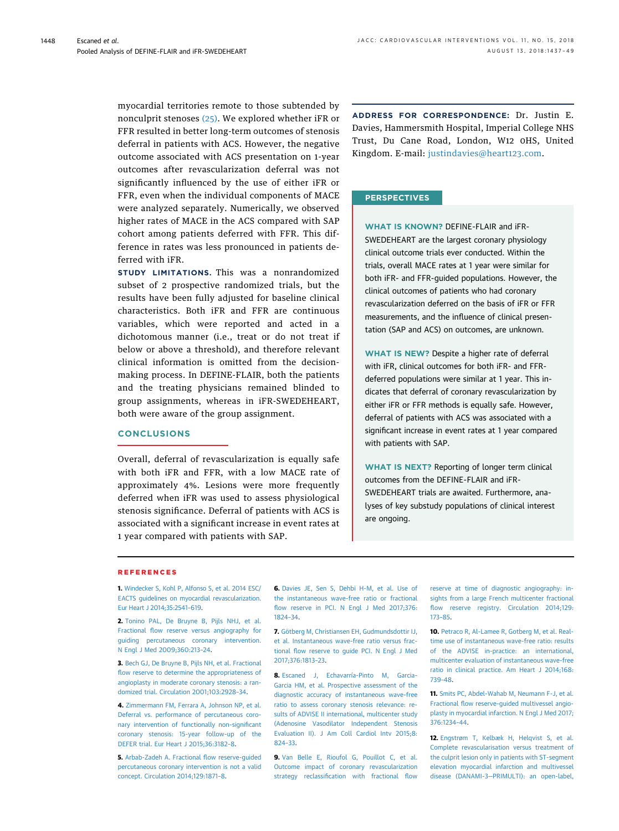<span id="page-11-0"></span>myocardial territories remote to those subtended by nonculprit stenoses [\(25\)](#page-12-0). We explored whether iFR or FFR resulted in better long-term outcomes of stenosis deferral in patients with ACS. However, the negative outcome associated with ACS presentation on 1-year outcomes after revascularization deferral was not significantly influenced by the use of either iFR or FFR, even when the individual components of MACE were analyzed separately. Numerically, we observed higher rates of MACE in the ACS compared with SAP cohort among patients deferred with FFR. This difference in rates was less pronounced in patients deferred with iFR.

STUDY LIMITATIONS. This was a nonrandomized subset of 2 prospective randomized trials, but the results have been fully adjusted for baseline clinical characteristics. Both iFR and FFR are continuous variables, which were reported and acted in a dichotomous manner (i.e., treat or do not treat if below or above a threshold), and therefore relevant clinical information is omitted from the decisionmaking process. In DEFINE-FLAIR, both the patients and the treating physicians remained blinded to group assignments, whereas in iFR-SWEDEHEART, both were aware of the group assignment.

#### **CONCLUSIONS**

Overall, deferral of revascularization is equally safe with both iFR and FFR, with a low MACE rate of approximately 4%. Lesions were more frequently deferred when iFR was used to assess physiological stenosis significance. Deferral of patients with ACS is associated with a significant increase in event rates at 1 year compared with patients with SAP.

ADDRESS FOR CORRESPONDENCE: Dr. Justin E. Davies, Hammersmith Hospital, Imperial College NHS Trust, Du Cane Road, London, W12 0HS, United Kingdom. E-mail: [justindavies@heart123.com](mailto:justindavies@heart123.com).

#### **PERSPECTIVES**

WHAT IS KNOWN? DEFINE-FLAIR and IFR-SWEDEHEART are the largest coronary physiology clinical outcome trials ever conducted. Within the trials, overall MACE rates at 1 year were similar for both iFR- and FFR-guided populations. However, the clinical outcomes of patients who had coronary revascularization deferred on the basis of iFR or FFR measurements, and the influence of clinical presentation (SAP and ACS) on outcomes, are unknown.

WHAT IS NEW? Despite a higher rate of deferral with iFR, clinical outcomes for both iFR- and FFRdeferred populations were similar at 1 year. This indicates that deferral of coronary revascularization by either iFR or FFR methods is equally safe. However, deferral of patients with ACS was associated with a significant increase in event rates at 1 year compared with patients with SAP.

WHAT IS NEXT? Reporting of longer term clinical outcomes from the DEFINE-FLAIR and iFR-SWEDEHEART trials are awaited. Furthermore, analyses of key substudy populations of clinical interest are ongoing.

#### REFERENCES

1. [Windecker S, Kohl P, Alfonso S, et al. 2014 ESC/](http://refhub.elsevier.com/S1936-8798(18)31143-9/sref1) [EACTS guidelines on myocardial revascularization.](http://refhub.elsevier.com/S1936-8798(18)31143-9/sref1) [Eur Heart J 2014;35:2541](http://refhub.elsevier.com/S1936-8798(18)31143-9/sref1)–619.

2. [Tonino PAL, De Bruyne B, Pijls NHJ, et al.](http://refhub.elsevier.com/S1936-8798(18)31143-9/sref2) Fractional fl[ow reserve versus angiography for](http://refhub.elsevier.com/S1936-8798(18)31143-9/sref2) [guiding percutaneous coronary intervention.](http://refhub.elsevier.com/S1936-8798(18)31143-9/sref2) [N Engl J Med 2009;360:213](http://refhub.elsevier.com/S1936-8798(18)31143-9/sref2)–24.

3. [Bech GJ, De Bruyne B, Pijls NH, et al. Fractional](http://refhub.elsevier.com/S1936-8798(18)31143-9/sref3) fl[ow reserve to determine the appropriateness of](http://refhub.elsevier.com/S1936-8798(18)31143-9/sref3) [angioplasty in moderate coronary stenosis: a ran](http://refhub.elsevier.com/S1936-8798(18)31143-9/sref3)[domized trial. Circulation 2001;103:2928](http://refhub.elsevier.com/S1936-8798(18)31143-9/sref3)–34.

4. [Zimmermann FM, Ferrara A, Johnson NP, et al.](http://refhub.elsevier.com/S1936-8798(18)31143-9/sref4) [Deferral vs. performance of percutaneous coro](http://refhub.elsevier.com/S1936-8798(18)31143-9/sref4)[nary intervention of functionally non-signi](http://refhub.elsevier.com/S1936-8798(18)31143-9/sref4)ficant [coronary stenosis: 15-year follow-up of the](http://refhub.elsevier.com/S1936-8798(18)31143-9/sref4) [DEFER trial. Eur Heart J 2015;36:3182](http://refhub.elsevier.com/S1936-8798(18)31143-9/sref4)–8.

5. [Arbab-Zadeh A. Fractional](http://refhub.elsevier.com/S1936-8798(18)31143-9/sref5) flow reserve-guided [percutaneous coronary intervention is not a valid](http://refhub.elsevier.com/S1936-8798(18)31143-9/sref5) [concept. Circulation 2014;129:1871](http://refhub.elsevier.com/S1936-8798(18)31143-9/sref5)–8.

6. [Davies JE, Sen S, Dehbi H-M, et al. Use of](http://refhub.elsevier.com/S1936-8798(18)31143-9/sref6) [the instantaneous wave-free ratio or fractional](http://refhub.elsevier.com/S1936-8798(18)31143-9/sref6) fl[ow reserve in PCI. N Engl J Med 2017;376:](http://refhub.elsevier.com/S1936-8798(18)31143-9/sref6) [1824](http://refhub.elsevier.com/S1936-8798(18)31143-9/sref6)–34.

7. [Götberg M, Christiansen EH, Gudmundsdottir IJ,](http://refhub.elsevier.com/S1936-8798(18)31143-9/sref7) [et al. Instantaneous wave-free ratio versus frac](http://refhub.elsevier.com/S1936-8798(18)31143-9/sref7)tional fl[ow reserve to guide PCI. N Engl J Med](http://refhub.elsevier.com/S1936-8798(18)31143-9/sref7) [2017;376:1813](http://refhub.elsevier.com/S1936-8798(18)31143-9/sref7)–23.

8. [Escaned J, Echavarría-Pinto M, Garcia-](http://refhub.elsevier.com/S1936-8798(18)31143-9/sref8)[Garcia HM, et al. Prospective assessment of the](http://refhub.elsevier.com/S1936-8798(18)31143-9/sref8) [diagnostic accuracy of instantaneous wave-free](http://refhub.elsevier.com/S1936-8798(18)31143-9/sref8) [ratio to assess coronary stenosis relevance: re](http://refhub.elsevier.com/S1936-8798(18)31143-9/sref8)[sults of ADVISE II international, multicenter study](http://refhub.elsevier.com/S1936-8798(18)31143-9/sref8) [\(Adenosine Vasodilator Independent Stenosis](http://refhub.elsevier.com/S1936-8798(18)31143-9/sref8) [Evaluation II\). J Am Coll Cardiol Intv 2015;8:](http://refhub.elsevier.com/S1936-8798(18)31143-9/sref8) [824](http://refhub.elsevier.com/S1936-8798(18)31143-9/sref8)–33.

9. [Van Belle E, Rioufol G, Pouillot C, et al.](http://refhub.elsevier.com/S1936-8798(18)31143-9/sref9) [Outcome impact of coronary revascularization](http://refhub.elsevier.com/S1936-8798(18)31143-9/sref9) strategy reclassifi[cation with fractional](http://refhub.elsevier.com/S1936-8798(18)31143-9/sref9) flow

[reserve at time of diagnostic angiography: in](http://refhub.elsevier.com/S1936-8798(18)31143-9/sref9)[sights from a large French multicenter fractional](http://refhub.elsevier.com/S1936-8798(18)31143-9/sref9) fl[ow reserve registry. Circulation 2014;129:](http://refhub.elsevier.com/S1936-8798(18)31143-9/sref9) [173](http://refhub.elsevier.com/S1936-8798(18)31143-9/sref9)–85.

10. [Petraco R, Al-Lamee R, Gotberg M, et al. Real](http://refhub.elsevier.com/S1936-8798(18)31143-9/sref10)[time use of instantaneous wave-free ratio: results](http://refhub.elsevier.com/S1936-8798(18)31143-9/sref10) [of the ADVISE in-practice: an international,](http://refhub.elsevier.com/S1936-8798(18)31143-9/sref10) [multicenter evaluation of instantaneous wave-free](http://refhub.elsevier.com/S1936-8798(18)31143-9/sref10) [ratio in clinical practice. Am Heart J 2014;168:](http://refhub.elsevier.com/S1936-8798(18)31143-9/sref10) [739](http://refhub.elsevier.com/S1936-8798(18)31143-9/sref10)–48.

11. [Smits PC, Abdel-Wahab M, Neumann F-J, et al.](http://refhub.elsevier.com/S1936-8798(18)31143-9/sref11) Fractional flow reserve–[guided multivessel angio](http://refhub.elsevier.com/S1936-8798(18)31143-9/sref11)[plasty in myocardial infarction. N Engl J Med 2017;](http://refhub.elsevier.com/S1936-8798(18)31143-9/sref11) [376:1234](http://refhub.elsevier.com/S1936-8798(18)31143-9/sref11)–44.

12. [Engstrøm T, Kelbæk H, Helqvist S, et al.](http://refhub.elsevier.com/S1936-8798(18)31143-9/sref12) [Complete revascularisation versus treatment of](http://refhub.elsevier.com/S1936-8798(18)31143-9/sref12) [the culprit lesion only in patients with ST-segment](http://refhub.elsevier.com/S1936-8798(18)31143-9/sref12) [elevation myocardial infarction and multivessel](http://refhub.elsevier.com/S1936-8798(18)31143-9/sref12) disease (DANAMI-3—[PRIMULTI\): an open-label,](http://refhub.elsevier.com/S1936-8798(18)31143-9/sref12)